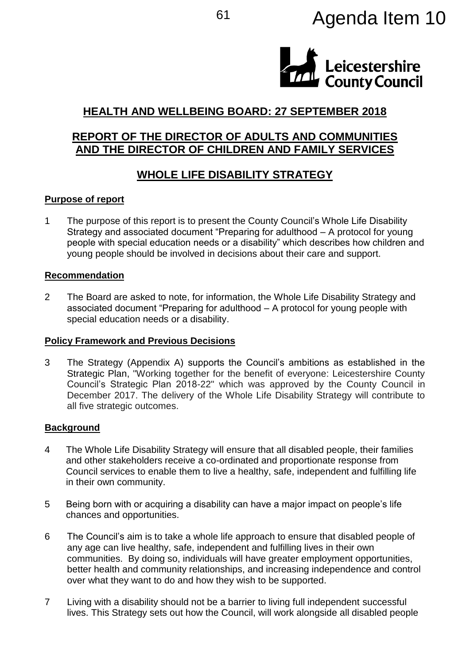# <sup>61</sup> Agenda Item 10



## **HEALTH AND WELLBEING BOARD: 27 SEPTEMBER 2018**

## **REPORT OF THE DIRECTOR OF ADULTS AND COMMUNITIES AND THE DIRECTOR OF CHILDREN AND FAMILY SERVICES**

# **WHOLE LIFE DISABILITY STRATEGY**

## **Purpose of report**

1 The purpose of this report is to present the County Council's Whole Life Disability Strategy and associated document "Preparing for adulthood – A protocol for young people with special education needs or a disability" which describes how children and young people should be involved in decisions about their care and support.

### **Recommendation**

2 The Board are asked to note, for information, the Whole Life Disability Strategy and associated document "Preparing for adulthood – A protocol for young people with special education needs or a disability.

### **Policy Framework and Previous Decisions**

3 The Strategy (Appendix A) supports the Council's ambitions as established in the Strategic Plan, "Working together for the benefit of everyone: Leicestershire County Council's Strategic Plan 2018-22" which was approved by the County Council in December 2017. The delivery of the Whole Life Disability Strategy will contribute to all five strategic outcomes.

## **Background**

- 4 The Whole Life Disability Strategy will ensure that all disabled people, their families and other stakeholders receive a co-ordinated and proportionate response from Council services to enable them to live a healthy, safe, independent and fulfilling life in their own community.
- 5 Being born with or acquiring a disability can have a major impact on people's life chances and opportunities.
- 6 The Council's aim is to take a whole life approach to ensure that disabled people of any age can live healthy, safe, independent and fulfilling lives in their own communities. By doing so, individuals will have greater employment opportunities, better health and community relationships, and increasing independence and control over what they want to do and how they wish to be supported.
- 7 Living with a disability should not be a barrier to living full independent successful lives. This Strategy sets out how the Council, will work alongside all disabled people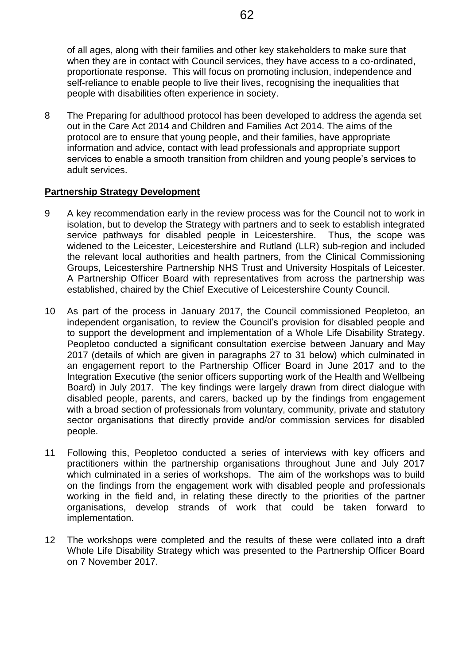of all ages, along with their families and other key stakeholders to make sure that when they are in contact with Council services, they have access to a co-ordinated, proportionate response. This will focus on promoting inclusion, independence and self-reliance to enable people to live their lives, recognising the inequalities that people with disabilities often experience in society.

8 The Preparing for adulthood protocol has been developed to address the agenda set out in the Care Act 2014 and Children and Families Act 2014. The aims of the protocol are to ensure that young people, and their families, have appropriate information and advice, contact with lead professionals and appropriate support services to enable a smooth transition from children and young people's services to adult services.

## **Partnership Strategy Development**

- 9 A key recommendation early in the review process was for the Council not to work in isolation, but to develop the Strategy with partners and to seek to establish integrated service pathways for disabled people in Leicestershire. Thus, the scope was widened to the Leicester, Leicestershire and Rutland (LLR) sub-region and included the relevant local authorities and health partners, from the Clinical Commissioning Groups, Leicestershire Partnership NHS Trust and University Hospitals of Leicester. A Partnership Officer Board with representatives from across the partnership was established, chaired by the Chief Executive of Leicestershire County Council.
- 10 As part of the process in January 2017, the Council commissioned Peopletoo, an independent organisation, to review the Council's provision for disabled people and to support the development and implementation of a Whole Life Disability Strategy. Peopletoo conducted a significant consultation exercise between January and May 2017 (details of which are given in paragraphs 27 to 31 below) which culminated in an engagement report to the Partnership Officer Board in June 2017 and to the Integration Executive (the senior officers supporting work of the Health and Wellbeing Board) in July 2017. The key findings were largely drawn from direct dialogue with disabled people, parents, and carers, backed up by the findings from engagement with a broad section of professionals from voluntary, community, private and statutory sector organisations that directly provide and/or commission services for disabled people.
- 11 Following this, Peopletoo conducted a series of interviews with key officers and practitioners within the partnership organisations throughout June and July 2017 which culminated in a series of workshops. The aim of the workshops was to build on the findings from the engagement work with disabled people and professionals working in the field and, in relating these directly to the priorities of the partner organisations, develop strands of work that could be taken forward to implementation.
- 12 The workshops were completed and the results of these were collated into a draft Whole Life Disability Strategy which was presented to the Partnership Officer Board on 7 November 2017.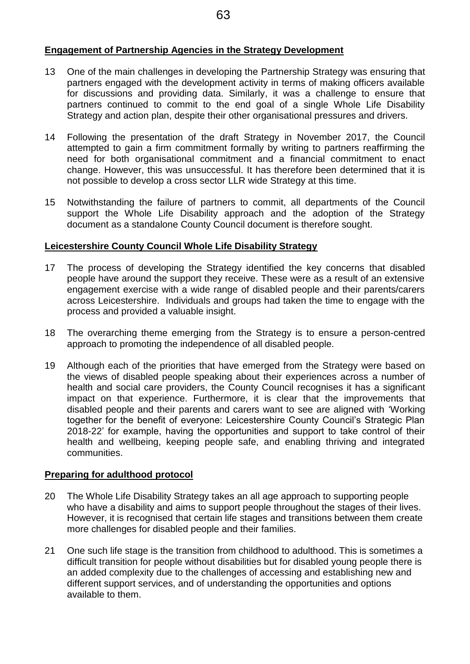## **Engagement of Partnership Agencies in the Strategy Development**

- 13 One of the main challenges in developing the Partnership Strategy was ensuring that partners engaged with the development activity in terms of making officers available for discussions and providing data. Similarly, it was a challenge to ensure that partners continued to commit to the end goal of a single Whole Life Disability Strategy and action plan, despite their other organisational pressures and drivers.
- 14 Following the presentation of the draft Strategy in November 2017, the Council attempted to gain a firm commitment formally by writing to partners reaffirming the need for both organisational commitment and a financial commitment to enact change. However, this was unsuccessful. It has therefore been determined that it is not possible to develop a cross sector LLR wide Strategy at this time.
- 15 Notwithstanding the failure of partners to commit, all departments of the Council support the Whole Life Disability approach and the adoption of the Strategy document as a standalone County Council document is therefore sought.

## **Leicestershire County Council Whole Life Disability Strategy**

- 17 The process of developing the Strategy identified the key concerns that disabled people have around the support they receive. These were as a result of an extensive engagement exercise with a wide range of disabled people and their parents/carers across Leicestershire. Individuals and groups had taken the time to engage with the process and provided a valuable insight.
- 18 The overarching theme emerging from the Strategy is to ensure a person-centred approach to promoting the independence of all disabled people.
- 19 Although each of the priorities that have emerged from the Strategy were based on the views of disabled people speaking about their experiences across a number of health and social care providers, the County Council recognises it has a significant impact on that experience. Furthermore, it is clear that the improvements that disabled people and their parents and carers want to see are aligned with 'Working together for the benefit of everyone: Leicestershire County Council's Strategic Plan 2018-22' for example, having the opportunities and support to take control of their health and wellbeing, keeping people safe, and enabling thriving and integrated communities.

## **Preparing for adulthood protocol**

- 20 The Whole Life Disability Strategy takes an all age approach to supporting people who have a disability and aims to support people throughout the stages of their lives. However, it is recognised that certain life stages and transitions between them create more challenges for disabled people and their families.
- 21 One such life stage is the transition from childhood to adulthood. This is sometimes a difficult transition for people without disabilities but for disabled young people there is an added complexity due to the challenges of accessing and establishing new and different support services, and of understanding the opportunities and options available to them.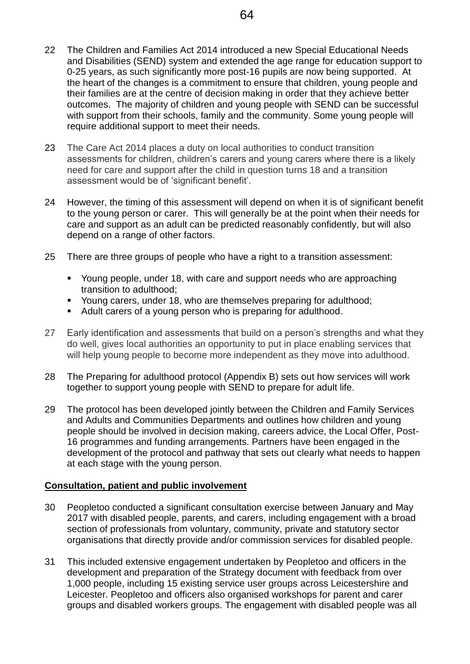- 22 The Children and Families Act 2014 introduced a new Special Educational Needs and Disabilities (SEND) system and extended the age range for education support to 0-25 years, as such significantly more post-16 pupils are now being supported. At the heart of the changes is a commitment to ensure that children, young people and their families are at the centre of decision making in order that they achieve better outcomes. The majority of children and young people with SEND can be successful with support from their schools, family and the community. Some young people will require additional support to meet their needs.
- 23 The Care Act 2014 places a duty on local authorities to conduct transition assessments for children, children's carers and young carers where there is a likely need for care and support after the child in question turns 18 and a transition assessment would be of 'significant benefit'.
- 24 However, the timing of this assessment will depend on when it is of significant benefit to the young person or carer. This will generally be at the point when their needs for care and support as an adult can be predicted reasonably confidently, but will also depend on a range of other factors.
- 25 There are three groups of people who have a right to a transition assessment:
	- Young people, under 18, with care and support needs who are approaching transition to adulthood;
	- Young carers, under 18, who are themselves preparing for adulthood;
	- Adult carers of a young person who is preparing for adulthood.
- 27 Early identification and assessments that build on a person's strengths and what they do well, gives local authorities an opportunity to put in place enabling services that will help young people to become more independent as they move into adulthood.
- 28 The Preparing for adulthood protocol (Appendix B) sets out how services will work together to support young people with SEND to prepare for adult life.
- 29 The protocol has been developed jointly between the Children and Family Services and Adults and Communities Departments and outlines how children and young people should be involved in decision making, careers advice, the Local Offer, Post-16 programmes and funding arrangements. Partners have been engaged in the development of the protocol and pathway that sets out clearly what needs to happen at each stage with the young person.

#### **Consultation, patient and public involvement**

- 30 Peopletoo conducted a significant consultation exercise between January and May 2017 with disabled people, parents, and carers, including engagement with a broad section of professionals from voluntary, community, private and statutory sector organisations that directly provide and/or commission services for disabled people.
- 31 This included extensive engagement undertaken by Peopletoo and officers in the development and preparation of the Strategy document with feedback from over 1,000 people, including 15 existing service user groups across Leicestershire and Leicester. Peopletoo and officers also organised workshops for parent and carer groups and disabled workers groups. The engagement with disabled people was all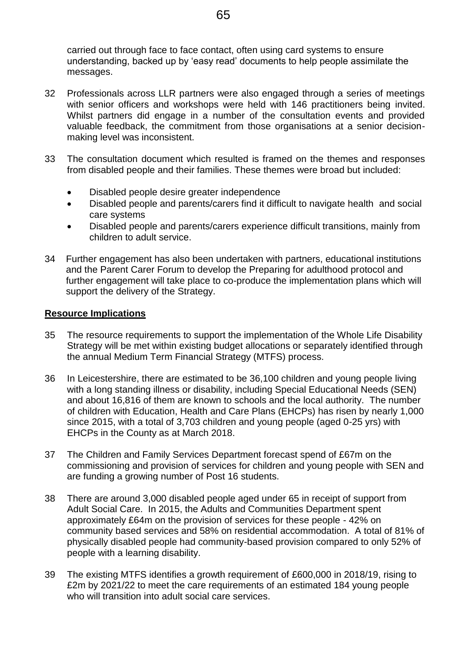carried out through face to face contact, often using card systems to ensure understanding, backed up by 'easy read' documents to help people assimilate the messages.

- 32 Professionals across LLR partners were also engaged through a series of meetings with senior officers and workshops were held with 146 practitioners being invited. Whilst partners did engage in a number of the consultation events and provided valuable feedback, the commitment from those organisations at a senior decisionmaking level was inconsistent.
- 33 The consultation document which resulted is framed on the themes and responses from disabled people and their families. These themes were broad but included:
	- Disabled people desire greater independence
	- Disabled people and parents/carers find it difficult to navigate health and social care systems
	- Disabled people and parents/carers experience difficult transitions, mainly from children to adult service.
- 34 Further engagement has also been undertaken with partners, educational institutions and the Parent Carer Forum to develop the Preparing for adulthood protocol and further engagement will take place to co-produce the implementation plans which will support the delivery of the Strategy.

### **Resource Implications**

- 35 The resource requirements to support the implementation of the Whole Life Disability Strategy will be met within existing budget allocations or separately identified through the annual Medium Term Financial Strategy (MTFS) process.
- 36 In Leicestershire, there are estimated to be 36,100 children and young people living with a long standing illness or disability, including Special Educational Needs (SEN) and about 16,816 of them are known to schools and the local authority. The number of children with Education, Health and Care Plans (EHCPs) has risen by nearly 1,000 since 2015, with a total of 3,703 children and young people (aged 0-25 yrs) with EHCPs in the County as at March 2018.
- 37 The Children and Family Services Department forecast spend of £67m on the commissioning and provision of services for children and young people with SEN and are funding a growing number of Post 16 students.
- 38 There are around 3,000 disabled people aged under 65 in receipt of support from Adult Social Care. In 2015, the Adults and Communities Department spent approximately £64m on the provision of services for these people - 42% on community based services and 58% on residential accommodation. A total of 81% of physically disabled people had community-based provision compared to only 52% of people with a learning disability.
- 39 The existing MTFS identifies a growth requirement of £600,000 in 2018/19, rising to £2m by 2021/22 to meet the care requirements of an estimated 184 young people who will transition into adult social care services.